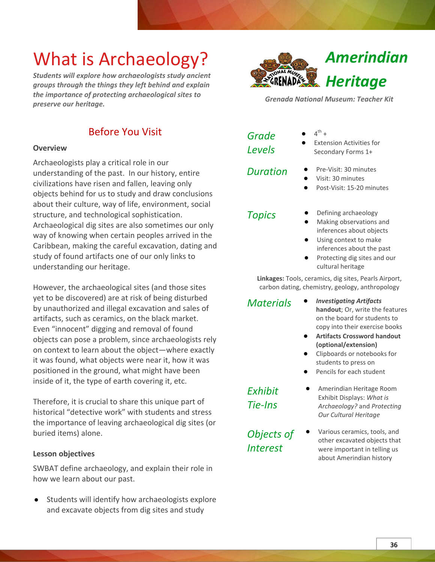## What is Archaeology?

*Students will explore how archaeologists study ancient groups through the things they left behind and explain the importance of protecting archaeological sites to preserve our heritage.*



#### **Overview**

Archaeologists play a critical role in our understanding of the past. In our history, entire civilizations have risen and fallen, leaving only objects behind for us to study and draw conclusions about their culture, way of life, environment, social structure, and technological sophistication. Archaeological dig sites are also sometimes our only way of knowing when certain peoples arrived in the Caribbean, making the careful excavation, dating and study of found artifacts one of our only links to understanding our heritage.

However, the archaeological sites (and those sites yet to be discovered) are at risk of being disturbed by unauthorized and illegal excavation and sales of artifacts, such as ceramics, on the black market. Even "innocent" digging and removal of found objects can pose a problem, since archaeologists rely on context to learn about the object—where exactly it was found, what objects were near it, how it was positioned in the ground, what might have been inside of it, the type of earth covering it, etc.

Therefore, it is crucial to share this unique part of historical "detective work" with students and stress the importance of leaving archaeological dig sites (or buried items) alone.

#### **Lesson objectives**

SWBAT define archaeology, and explain their role in how we learn about our past.

Students will identify how archaeologists explore and excavate objects from dig sites and study



*Grenada National Museum: Teacher Kit*

| Grade         |  |
|---------------|--|
| <b>Levels</b> |  |

- $\bullet$  4<sup>th</sup> +
- **Extension Activities for** Secondary Forms 1+

- *Duration* **●** Pre-Visit: 30 minutes
	- **●** Visit: 30 minutes
	- **●** Post-Visit: 15-20 minutes
	-
- *Topics* **●** Defining archaeology
	- **●** Making observations and inferences about objects
	- **●** Using context to make inferences about the past
	- **●** Protecting dig sites and our cultural heritage

**Linkages:** Tools, ceramics, dig sites, Pearls Airport, carbon dating, chemistry, geology, anthropology

- *Materials* **●** *Investigating Artifacts* **handout**; Or, write the features on the board for students to copy into their exercise books
	- **● Artifacts Crossword handout (optional/extension)**
	- **●** Clipboards or notebooks for students to press on
	- Pencils for each student

*Exhibit Tie-Ins*

*Objects of Interest*

- **●** Amerindian Heritage Room Exhibit Displays: *What is Archaeology?* and *Protecting Our Cultural Heritage*
- **●** Various ceramics, tools, and other excavated objects that were important in telling us about Amerindian history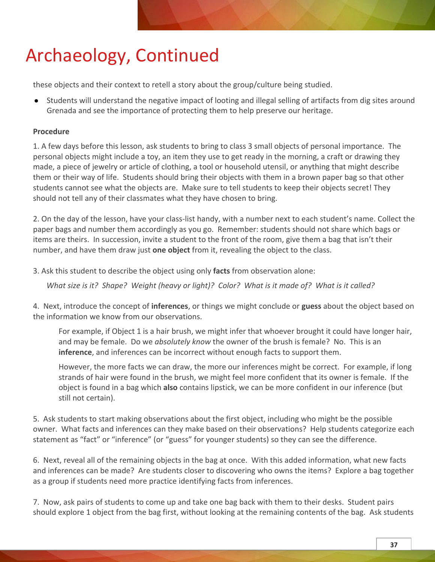these objects and their context to retell a story about the group/culture being studied.

● Students will understand the negative impact of looting and illegal selling of artifacts from dig sites around Grenada and see the importance of protecting them to help preserve our heritage.

### **Procedure**

1. A few days before this lesson, ask students to bring to class 3 small objects of personal importance. The personal objects might include a toy, an item they use to get ready in the morning, a craft or drawing they made, a piece of jewelry or article of clothing, a tool or household utensil, or anything that might describe them or their way of life. Students should bring their objects with them in a brown paper bag so that other students cannot see what the objects are. Make sure to tell students to keep their objects secret! They should not tell any of their classmates what they have chosen to bring.

2. On the day of the lesson, have your class-list handy, with a number next to each student's name. Collect the paper bags and number them accordingly as you go. Remember: students should not share which bags or items are theirs. In succession, invite a student to the front of the room, give them a bag that isn't their number, and have them draw just **one object** from it, revealing the object to the class.

3. Ask this student to describe the object using only **facts** from observation alone:

 *What size is it? Shape? Weight (heavy or light)? Color? What is it made of? What is it called?* 

4. Next, introduce the concept of **inferences**, or things we might conclude or **guess** about the object based on the information we know from our observations.

For example, if Object 1 is a hair brush, we might infer that whoever brought it could have longer hair, and may be female. Do we *absolutely know* the owner of the brush is female? No. This is an **inference**, and inferences can be incorrect without enough facts to support them.

However, the more facts we can draw, the more our inferences might be correct. For example, if long strands of hair were found in the brush, we might feel more confident that its owner is female. If the object is found in a bag which **also** contains lipstick, we can be more confident in our inference (but still not certain).

5. Ask students to start making observations about the first object, including who might be the possible owner. What facts and inferences can they make based on their observations? Help students categorize each statement as "fact" or "inference" (or "guess" for younger students) so they can see the difference.

6. Next, reveal all of the remaining objects in the bag at once. With this added information, what new facts and inferences can be made? Are students closer to discovering who owns the items? Explore a bag together as a group if students need more practice identifying facts from inferences.

7. Now, ask pairs of students to come up and take one bag back with them to their desks. Student pairs should explore 1 object from the bag first, without looking at the remaining contents of the bag. Ask students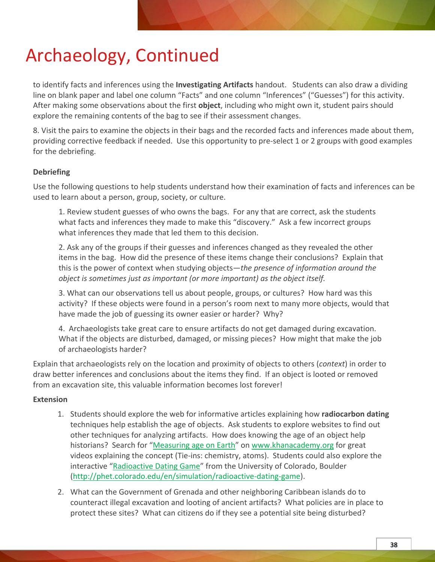to identify facts and inferences using the **Investigating Artifacts** handout. Students can also draw a dividing line on blank paper and label one column "Facts" and one column "Inferences" ("Guesses") for this activity. After making some observations about the first **object**, including who might own it, student pairs should explore the remaining contents of the bag to see if their assessment changes.

8. Visit the pairs to examine the objects in their bags and the recorded facts and inferences made about them, providing corrective feedback if needed. Use this opportunity to pre-select 1 or 2 groups with good examples for the debriefing.

#### **Debriefing**

Use the following questions to help students understand how their examination of facts and inferences can be used to learn about a person, group, society, or culture.

1. Review student guesses of who owns the bags. For any that are correct, ask the students what facts and inferences they made to make this "discovery." Ask a few incorrect groups what inferences they made that led them to this decision.

2. Ask any of the groups if their guesses and inferences changed as they revealed the other items in the bag. How did the presence of these items change their conclusions? Explain that this is the power of context when studying objects—*the presence of information around the object is sometimes just as important (or more important) as the object itself.*

3. What can our observations tell us about people, groups, or cultures? How hard was this activity? If these objects were found in a person's room next to many more objects, would that have made the job of guessing its owner easier or harder? Why?

4. Archaeologists take great care to ensure artifacts do not get damaged during excavation. What if the objects are disturbed, damaged, or missing pieces? How might that make the job of archaeologists harder?

Explain that archaeologists rely on the location and proximity of objects to others (*context*) in order to draw better inferences and conclusions about the items they find. If an object is looted or removed from an excavation site, this valuable information becomes lost forever!

#### **Extension**

- 1. Students should explore the web for informative articles explaining how **radiocarbon dating** techniques help establish the age of objects. Ask students to explore websites to find out other techniques for analyzing artifacts. How does knowing the age of an object help historians? Search for "Measuring age on Earth" on www.khanacademy.org for great videos explaining the concept (Tie-ins: chemistry, atoms). Students could also explore the interactive "Radioactive Dating Game" from the University of Colorado, Boulder (http://phet.colorado.edu/en/simulation/radioactive-dating-game).
- 2. What can the Government of Grenada and other neighboring Caribbean islands do to counteract illegal excavation and looting of ancient artifacts? What policies are in place to protect these sites? What can citizens do if they see a potential site being disturbed?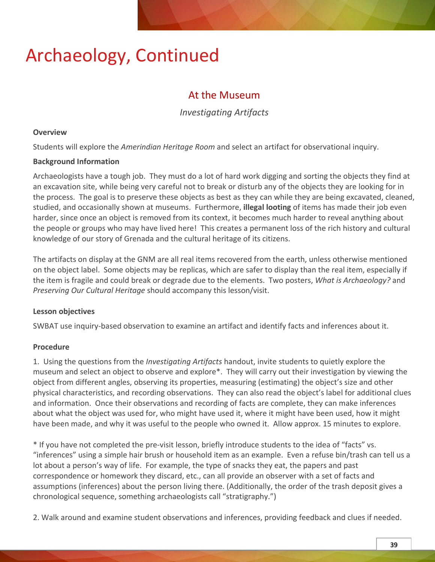### At the Museum

*Investigating Artifacts*

#### **Overview**

Students will explore the *Amerindian Heritage Room* and select an artifact for observational inquiry.

#### **Background Information**

Archaeologists have a tough job. They must do a lot of hard work digging and sorting the objects they find at an excavation site, while being very careful not to break or disturb any of the objects they are looking for in the process. The goal is to preserve these objects as best as they can while they are being excavated, cleaned, studied, and occasionally shown at museums. Furthermore, **illegal looting** of items has made their job even harder, since once an object is removed from its context, it becomes much harder to reveal anything about the people or groups who may have lived here! This creates a permanent loss of the rich history and cultural knowledge of our story of Grenada and the cultural heritage of its citizens.

The artifacts on display at the GNM are all real items recovered from the earth, unless otherwise mentioned on the object label. Some objects may be replicas, which are safer to display than the real item, especially if the item is fragile and could break or degrade due to the elements. Two posters, *What is Archaeology?* and *Preserving Our Cultural Heritage* should accompany this lesson/visit.

### **Lesson objectives**

SWBAT use inquiry-based observation to examine an artifact and identify facts and inferences about it.

### **Procedure**

1. Using the questions from the *Investigating Artifacts* handout, invite students to quietly explore the museum and select an object to observe and explore\*. They will carry out their investigation by viewing the object from different angles, observing its properties, measuring (estimating) the object's size and other physical characteristics, and recording observations. They can also read the object's label for additional clues and information. Once their observations and recording of facts are complete, they can make inferences about what the object was used for, who might have used it, where it might have been used, how it might have been made, and why it was useful to the people who owned it. Allow approx. 15 minutes to explore.

\* If you have not completed the pre-visit lesson, briefly introduce students to the idea of "facts" vs. "inferences" using a simple hair brush or household item as an example. Even a refuse bin/trash can tell us a lot about a person's way of life. For example, the type of snacks they eat, the papers and past correspondence or homework they discard, etc., can all provide an observer with a set of facts and assumptions (inferences) about the person living there. (Additionally, the order of the trash deposit gives a chronological sequence, something archaeologists call "stratigraphy.")

2. Walk around and examine student observations and inferences, providing feedback and clues if needed.